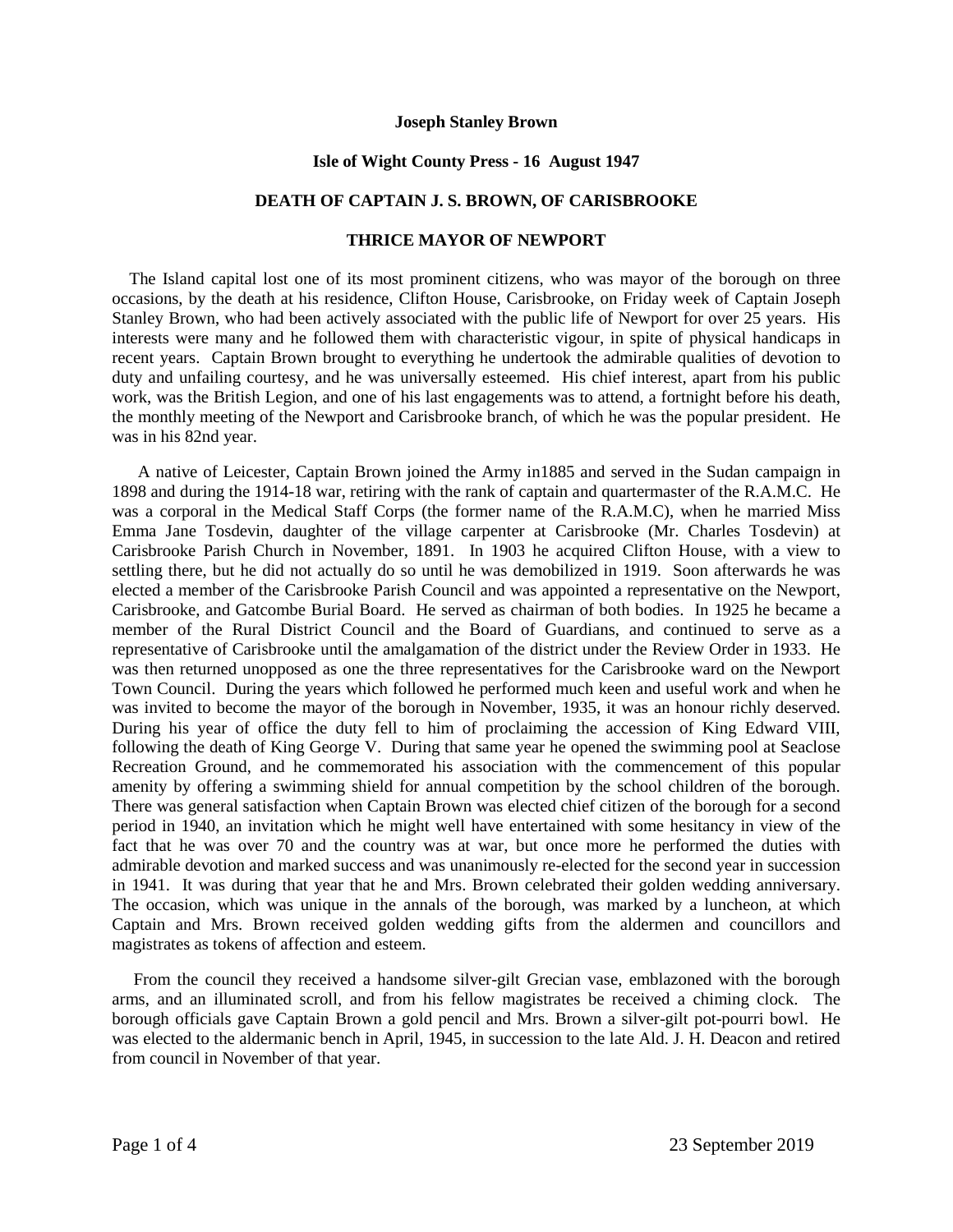### **Joseph Stanley Brown**

### **Isle of Wight County Press - 16 August 1947**

# **DEATH OF CAPTAIN J. S. BROWN, OF CARISBROOKE**

# **THRICE MAYOR OF NEWPORT**

The Island capital lost one of its most prominent citizens, who was mayor of the borough on three occasions, by the death at his residence, Clifton House, Carisbrooke, on Friday week of Captain Joseph Stanley Brown, who had been actively associated with the public life of Newport for over 25 years. His interests were many and he followed them with characteristic vigour, in spite of physical handicaps in recent years. Captain Brown brought to everything he undertook the admirable qualities of devotion to duty and unfailing courtesy, and he was universally esteemed. His chief interest, apart from his public work, was the British Legion, and one of his last engagements was to attend, a fortnight before his death, the monthly meeting of the Newport and Carisbrooke branch, of which he was the popular president. He was in his 82nd year.

 A native of Leicester, Captain Brown joined the Army in1885 and served in the Sudan campaign in 1898 and during the 1914-18 war, retiring with the rank of captain and quartermaster of the R.A.M.C. He was a corporal in the Medical Staff Corps (the former name of the R.A.M.C), when he married Miss Emma Jane Tosdevin, daughter of the village carpenter at Carisbrooke (Mr. Charles Tosdevin) at Carisbrooke Parish Church in November, 1891. In 1903 he acquired Clifton House, with a view to settling there, but he did not actually do so until he was demobilized in 1919. Soon afterwards he was elected a member of the Carisbrooke Parish Council and was appointed a representative on the Newport, Carisbrooke, and Gatcombe Burial Board. He served as chairman of both bodies. In 1925 he became a member of the Rural District Council and the Board of Guardians, and continued to serve as a representative of Carisbrooke until the amalgamation of the district under the Review Order in 1933. He was then returned unopposed as one the three representatives for the Carisbrooke ward on the Newport Town Council. During the years which followed he performed much keen and useful work and when he was invited to become the mayor of the borough in November, 1935, it was an honour richly deserved. During his year of office the duty fell to him of proclaiming the accession of King Edward VIII, following the death of King George V. During that same year he opened the swimming pool at Seaclose Recreation Ground, and he commemorated his association with the commencement of this popular amenity by offering a swimming shield for annual competition by the school children of the borough. There was general satisfaction when Captain Brown was elected chief citizen of the borough for a second period in 1940, an invitation which he might well have entertained with some hesitancy in view of the fact that he was over 70 and the country was at war, but once more he performed the duties with admirable devotion and marked success and was unanimously re-elected for the second year in succession in 1941. It was during that year that he and Mrs. Brown celebrated their golden wedding anniversary. The occasion, which was unique in the annals of the borough, was marked by a luncheon, at which Captain and Mrs. Brown received golden wedding gifts from the aldermen and councillors and magistrates as tokens of affection and esteem.

 From the council they received a handsome silver-gilt Grecian vase, emblazoned with the borough arms, and an illuminated scroll, and from his fellow magistrates be received a chiming clock. The borough officials gave Captain Brown a gold pencil and Mrs. Brown a silver-gilt pot-pourri bowl. He was elected to the aldermanic bench in April, 1945, in succession to the late Ald. J. H. Deacon and retired from council in November of that year.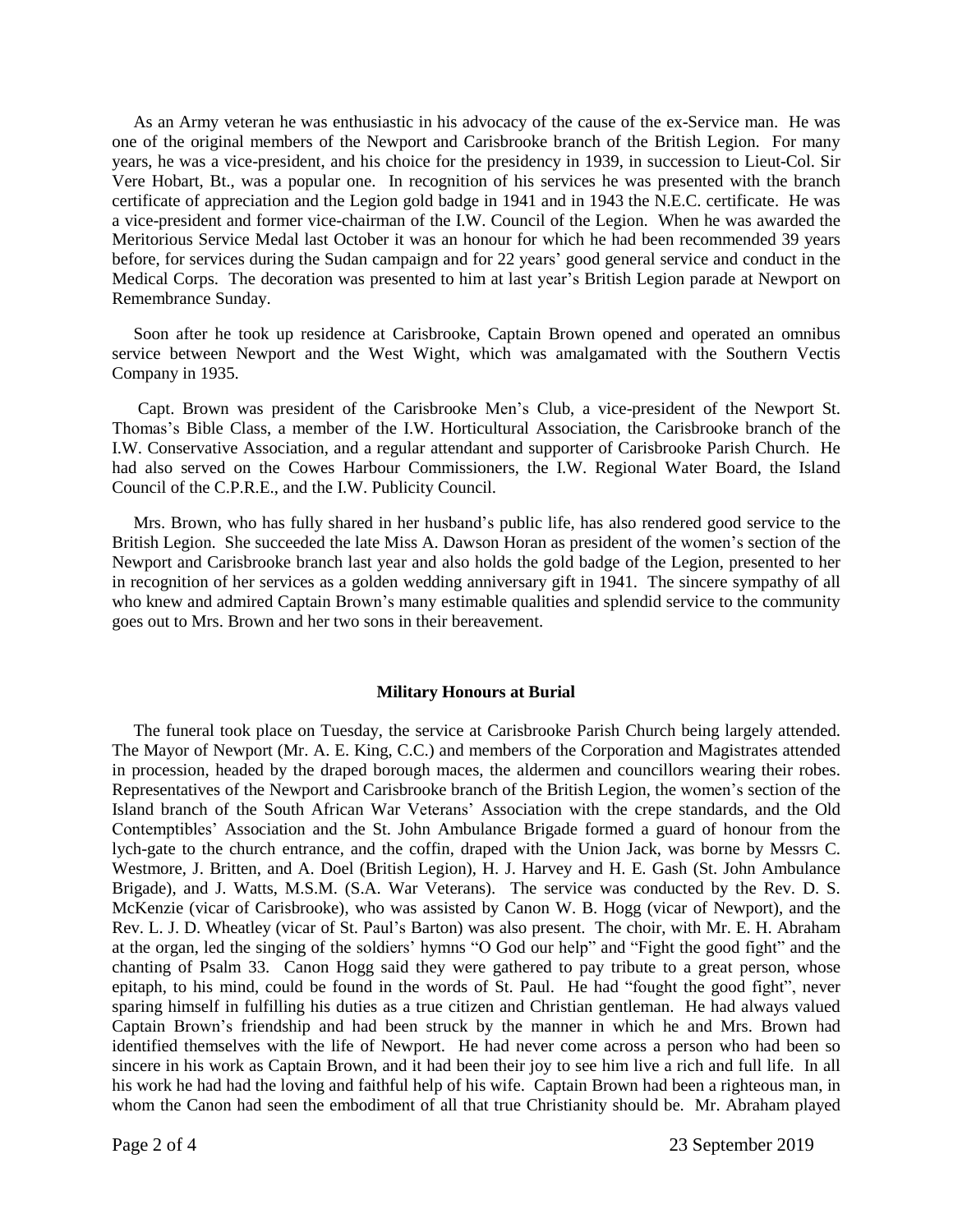As an Army veteran he was enthusiastic in his advocacy of the cause of the ex-Service man. He was one of the original members of the Newport and Carisbrooke branch of the British Legion. For many years, he was a vice-president, and his choice for the presidency in 1939, in succession to Lieut-Col. Sir Vere Hobart, Bt., was a popular one. In recognition of his services he was presented with the branch certificate of appreciation and the Legion gold badge in 1941 and in 1943 the N.E.C. certificate. He was a vice-president and former vice-chairman of the I.W. Council of the Legion. When he was awarded the Meritorious Service Medal last October it was an honour for which he had been recommended 39 years before, for services during the Sudan campaign and for 22 years' good general service and conduct in the Medical Corps. The decoration was presented to him at last year's British Legion parade at Newport on Remembrance Sunday.

 Soon after he took up residence at Carisbrooke, Captain Brown opened and operated an omnibus service between Newport and the West Wight, which was amalgamated with the Southern Vectis Company in 1935.

 Capt. Brown was president of the Carisbrooke Men's Club, a vice-president of the Newport St. Thomas's Bible Class, a member of the I.W. Horticultural Association, the Carisbrooke branch of the I.W. Conservative Association, and a regular attendant and supporter of Carisbrooke Parish Church. He had also served on the Cowes Harbour Commissioners, the I.W. Regional Water Board, the Island Council of the C.P.R.E., and the I.W. Publicity Council.

 Mrs. Brown, who has fully shared in her husband's public life, has also rendered good service to the British Legion. She succeeded the late Miss A. Dawson Horan as president of the women's section of the Newport and Carisbrooke branch last year and also holds the gold badge of the Legion, presented to her in recognition of her services as a golden wedding anniversary gift in 1941. The sincere sympathy of all who knew and admired Captain Brown's many estimable qualities and splendid service to the community goes out to Mrs. Brown and her two sons in their bereavement.

### **Military Honours at Burial**

 The funeral took place on Tuesday, the service at Carisbrooke Parish Church being largely attended. The Mayor of Newport (Mr. A. E. King, C.C.) and members of the Corporation and Magistrates attended in procession, headed by the draped borough maces, the aldermen and councillors wearing their robes. Representatives of the Newport and Carisbrooke branch of the British Legion, the women's section of the Island branch of the South African War Veterans' Association with the crepe standards, and the Old Contemptibles' Association and the St. John Ambulance Brigade formed a guard of honour from the lych-gate to the church entrance, and the coffin, draped with the Union Jack, was borne by Messrs C. Westmore, J. Britten, and A. Doel (British Legion), H. J. Harvey and H. E. Gash (St. John Ambulance Brigade), and J. Watts, M.S.M. (S.A. War Veterans). The service was conducted by the Rev. D. S. McKenzie (vicar of Carisbrooke), who was assisted by Canon W. B. Hogg (vicar of Newport), and the Rev. L. J. D. Wheatley (vicar of St. Paul's Barton) was also present. The choir, with Mr. E. H. Abraham at the organ, led the singing of the soldiers' hymns "O God our help" and "Fight the good fight" and the chanting of Psalm 33. Canon Hogg said they were gathered to pay tribute to a great person, whose epitaph, to his mind, could be found in the words of St. Paul. He had "fought the good fight", never sparing himself in fulfilling his duties as a true citizen and Christian gentleman. He had always valued Captain Brown's friendship and had been struck by the manner in which he and Mrs. Brown had identified themselves with the life of Newport. He had never come across a person who had been so sincere in his work as Captain Brown, and it had been their joy to see him live a rich and full life. In all his work he had had the loving and faithful help of his wife. Captain Brown had been a righteous man, in whom the Canon had seen the embodiment of all that true Christianity should be. Mr. Abraham played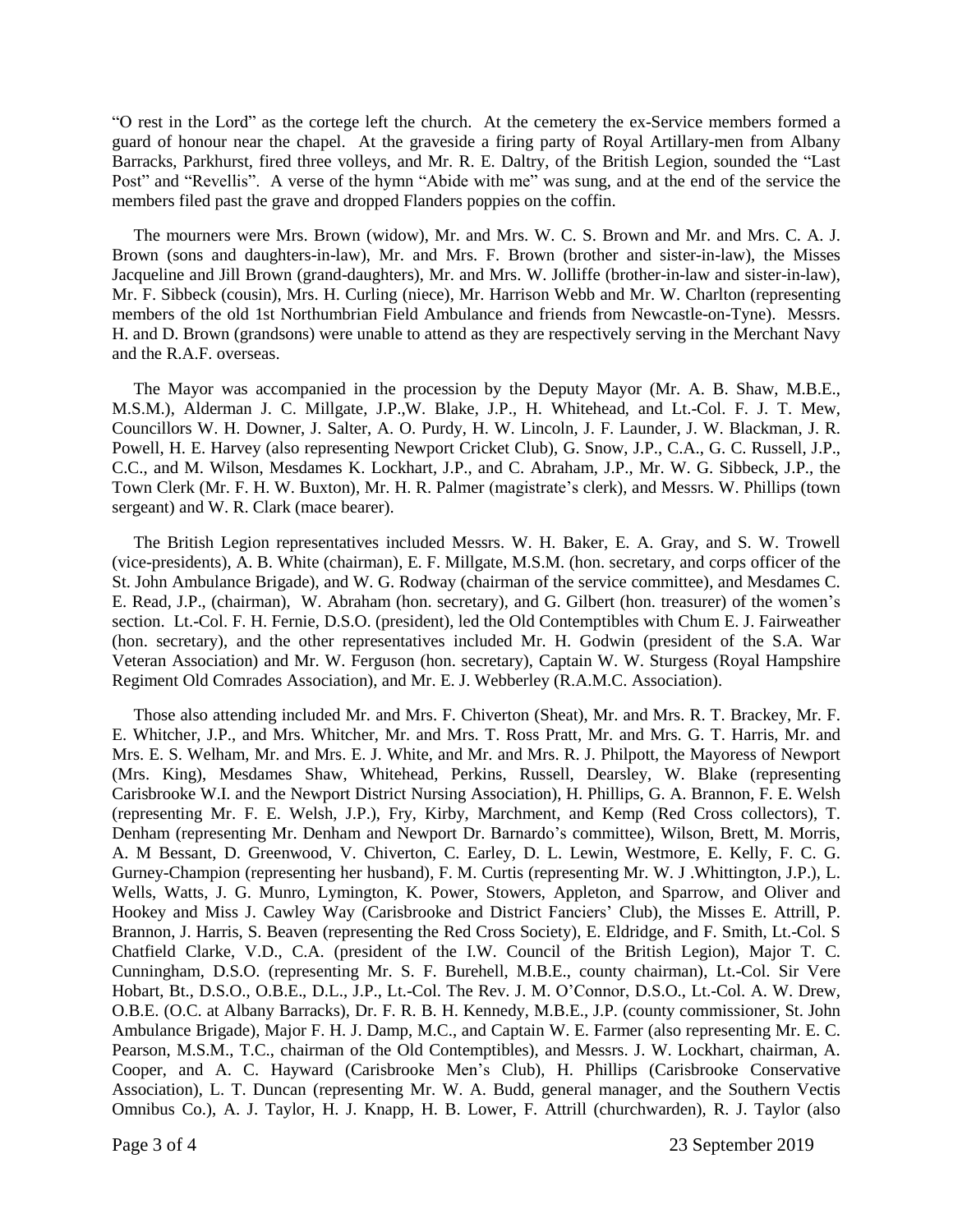"O rest in the Lord" as the cortege left the church. At the cemetery the ex-Service members formed a guard of honour near the chapel. At the graveside a firing party of Royal Artillary-men from Albany Barracks, Parkhurst, fired three volleys, and Mr. R. E. Daltry, of the British Legion, sounded the "Last Post" and "Revellis". A verse of the hymn "Abide with me" was sung, and at the end of the service the members filed past the grave and dropped Flanders poppies on the coffin.

 The mourners were Mrs. Brown (widow), Mr. and Mrs. W. C. S. Brown and Mr. and Mrs. C. A. J. Brown (sons and daughters-in-law), Mr. and Mrs. F. Brown (brother and sister-in-law), the Misses Jacqueline and Jill Brown (grand-daughters), Mr. and Mrs. W. Jolliffe (brother-in-law and sister-in-law), Mr. F. Sibbeck (cousin), Mrs. H. Curling (niece), Mr. Harrison Webb and Mr. W. Charlton (representing members of the old 1st Northumbrian Field Ambulance and friends from Newcastle-on-Tyne). Messrs. H. and D. Brown (grandsons) were unable to attend as they are respectively serving in the Merchant Navy and the R.A.F. overseas.

 The Mayor was accompanied in the procession by the Deputy Mayor (Mr. A. B. Shaw, M.B.E., M.S.M.), Alderman J. C. Millgate, J.P.,W. Blake, J.P., H. Whitehead, and Lt.-Col. F. J. T. Mew, Councillors W. H. Downer, J. Salter, A. O. Purdy, H. W. Lincoln, J. F. Launder, J. W. Blackman, J. R. Powell, H. E. Harvey (also representing Newport Cricket Club), G. Snow, J.P., C.A., G. C. Russell, J.P., C.C., and M. Wilson, Mesdames K. Lockhart, J.P., and C. Abraham, J.P., Mr. W. G. Sibbeck, J.P., the Town Clerk (Mr. F. H. W. Buxton), Mr. H. R. Palmer (magistrate's clerk), and Messrs. W. Phillips (town sergeant) and W. R. Clark (mace bearer).

 The British Legion representatives included Messrs. W. H. Baker, E. A. Gray, and S. W. Trowell (vice-presidents), A. B. White (chairman), E. F. Millgate, M.S.M. (hon. secretary, and corps officer of the St. John Ambulance Brigade), and W. G. Rodway (chairman of the service committee), and Mesdames C. E. Read, J.P., (chairman), W. Abraham (hon. secretary), and G. Gilbert (hon. treasurer) of the women's section. Lt.-Col. F. H. Fernie, D.S.O. (president), led the Old Contemptibles with Chum E. J. Fairweather (hon. secretary), and the other representatives included Mr. H. Godwin (president of the S.A. War Veteran Association) and Mr. W. Ferguson (hon. secretary), Captain W. W. Sturgess (Royal Hampshire Regiment Old Comrades Association), and Mr. E. J. Webberley (R.A.M.C. Association).

 Those also attending included Mr. and Mrs. F. Chiverton (Sheat), Mr. and Mrs. R. T. Brackey, Mr. F. E. Whitcher, J.P., and Mrs. Whitcher, Mr. and Mrs. T. Ross Pratt, Mr. and Mrs. G. T. Harris, Mr. and Mrs. E. S. Welham, Mr. and Mrs. E. J. White, and Mr. and Mrs. R. J. Philpott, the Mayoress of Newport (Mrs. King), Mesdames Shaw, Whitehead, Perkins, Russell, Dearsley, W. Blake (representing Carisbrooke W.I. and the Newport District Nursing Association), H. Phillips, G. A. Brannon, F. E. Welsh (representing Mr. F. E. Welsh, J.P.), Fry, Kirby, Marchment, and Kemp (Red Cross collectors), T. Denham (representing Mr. Denham and Newport Dr. Barnardo's committee), Wilson, Brett, M. Morris, A. M Bessant, D. Greenwood, V. Chiverton, C. Earley, D. L. Lewin, Westmore, E. Kelly, F. C. G. Gurney-Champion (representing her husband), F. M. Curtis (representing Mr. W. J .Whittington, J.P.), L. Wells, Watts, J. G. Munro, Lymington, K. Power, Stowers, Appleton, and Sparrow, and Oliver and Hookey and Miss J. Cawley Way (Carisbrooke and District Fanciers' Club), the Misses E. Attrill, P. Brannon, J. Harris, S. Beaven (representing the Red Cross Society), E. Eldridge, and F. Smith, Lt.-Col. S Chatfield Clarke, V.D., C.A. (president of the I.W. Council of the British Legion), Major T. C. Cunningham, D.S.O. (representing Mr. S. F. Burehell, M.B.E., county chairman), Lt.-Col. Sir Vere Hobart, Bt., D.S.O., O.B.E., D.L., J.P., Lt.-Col. The Rev. J. M. O'Connor, D.S.O., Lt.-Col. A. W. Drew, O.B.E. (O.C. at Albany Barracks), Dr. F. R. B. H. Kennedy, M.B.E., J.P. (county commissioner, St. John Ambulance Brigade), Major F. H. J. Damp, M.C., and Captain W. E. Farmer (also representing Mr. E. C. Pearson, M.S.M., T.C., chairman of the Old Contemptibles), and Messrs. J. W. Lockhart, chairman, A. Cooper, and A. C. Hayward (Carisbrooke Men's Club), H. Phillips (Carisbrooke Conservative Association), L. T. Duncan (representing Mr. W. A. Budd, general manager, and the Southern Vectis Omnibus Co.), A. J. Taylor, H. J. Knapp, H. B. Lower, F. Attrill (churchwarden), R. J. Taylor (also